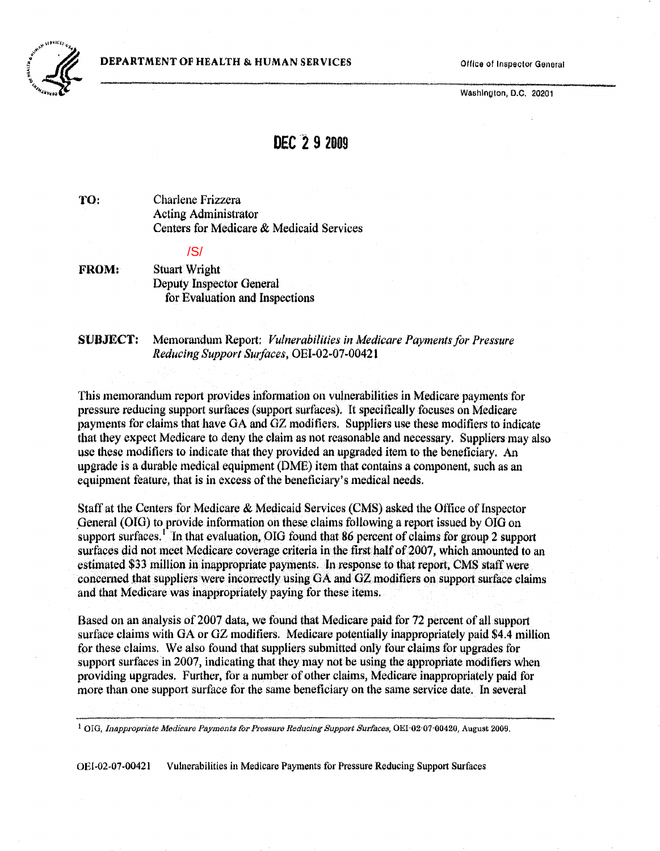**DEPARTMENT OF HEALTH & HUMAN SERVICES** Office of Inspector General



Washington, D.C. 20201

# DEC 2**9 <sup>2009</sup>**

TO: Charlene Frizzera Acting Administrator Centers for Medicare & Medicaid Services

#### /S/

FROM: Stuart Wright Deputy Inspector General for Evaluation and Inspections

SUBJECT: Memorandum Report: *Vulnerabilities in Medicare Payments for Pressure Reducing Support Surfaces.* OEI-02-07-00421

This memorandum report provides information on vulnerabilities in Medicare payments for pressure reducing support surfaces (support surfaces), It specifically focuses on Medicare payments for claims that have GA and GZ modifiers. Suppliers use these modifiers to indicate that they expect Medicare to deny the claim as not reasonable and necessary, Suppliers may also use these modifiers to indicate that they provided an upgraded item to the beneficiary. An upgrade is a durable medical equipment (DME) item that contains a component, such as an equipment feature, that is in excess of the beneficiary's medical needs.

Staff at the Centers for Medicare & Medicaid Services (CMS) asked the Office of Inspector General (OIG) to provide information on these claims following a report issued by OIG on support surfaces.<sup>1</sup> In that evaluation, OIG found that 86 percent of claims for group 2 support surfaces did not [me](#page-0-0)et Medicare coverage criteria in the first half of 2007, which amounted to an estimated \$33 million in inappropriate payments. In response to that report, CMS staff were concerned that suppliers were incorrectly using GA and GZ modifiers on support surface claims and that Medicare was inappropriately paying for these items.

Based on an analysis of 2007 data, we found that Medicare paid for 72 percent of all support surface claims with OA or OZ modifiers. Medicare potentially inappropriately paid \$4.4 million for these claims. We also found that suppliers submitted only four claims for upgrades for support surfaces in 2007, indicating that they may not be using the appropriate modifiers when providing upgrades. Further, for a number of other claims, Medicare inappropriately paid for more than one support surface for the same beneficiary on the same service date. In several

<span id="page-0-0"></span><sup>1</sup> OIG. *Inappropriate Medicare Payments for Pressure Reducing Support Surfaces, OEI-02-07-00420, August 2009.* 

OEI-02-07-00421 Vublerabilities in Medicare Payments for Pressure Reducing Support Surfaces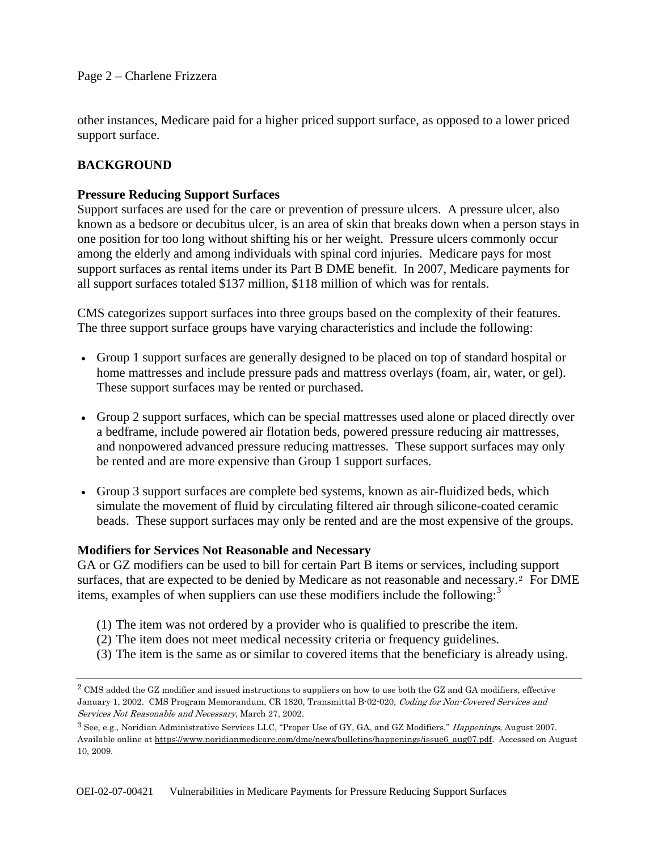other instances, Medicare paid for a higher priced support surface, as opposed to a lower priced support surface.

# **BACKGROUND**

# **Pressure Reducing Support Surfaces**

Support surfaces are used for the care or prevention of pressure ulcers. A pressure ulcer, also known as a bedsore or decubitus ulcer, is an area of skin that breaks down when a person stays in one position for too long without shifting his or her weight. Pressure ulcers commonly occur among the elderly and among individuals with spinal cord injuries. Medicare pays for most support surfaces as rental items under its Part B DME benefit. In 2007, Medicare payments for all support surfaces totaled \$137 million, \$118 million of which was for rentals.

CMS categorizes support surfaces into three groups based on the complexity of their features. The three support surface groups have varying characteristics and include the following:

- Group 1 support surfaces are generally designed to be placed on top of standard hospital or home mattresses and include pressure pads and mattress overlays (foam, air, water, or gel). These support surfaces may be rented or purchased.
- Group 2 support surfaces, which can be special mattresses used alone or placed directly over a bedframe, include powered air flotation beds, powered pressure reducing air mattresses, and nonpowered advanced pressure reducing mattresses. These support surfaces may only be rented and are more expensive than Group 1 support surfaces.
- Group 3 support surfaces are complete bed systems, known as air-fluidized beds, which simulate the movement of fluid by circulating filtered air through silicone-coated ceramic beads. These support surfaces may only be rented and are the most expensive of the groups.

# **Modifiers for Services Not Reasonable and Necessary**

GA or GZ modifiers can be used to bill for certain Part B items or services, including support surfaces, that are expected to be denied by Medicare as not reasonable and necessary.<sup>[2](#page-1-0)</sup> For DME items, examples of when suppliers can use these modifiers include the following: $3$ 

- (1) The item was not ordered by a provider who is qualified to prescribe the item.
- (2) The item does not meet medical necessity criteria or frequency guidelines.
- (3) The item is the same as or similar to covered items that the beneficiary is already using.

<span id="page-1-0"></span> $2$  CMS added the GZ modifier and issued instructions to suppliers on how to use both the GZ and GA modifiers, effective January 1, 2002. CMS Program Memorandum, CR 1820, Transmittal B-02-020, Coding for Non-Covered Services and Services Not Reasonable and Necessary, March 27, 2002.

<span id="page-1-1"></span><sup>3</sup> See, e.g., Noridian Administrative Services LLC, "Proper Use of GY, GA, and GZ Modifiers," Happenings, August 2007. Available online at https://www.noridianmedicare.com/dme/news/bulletins/happenings/issue6\_aug07.pdf. Accessed on August 10, 2009.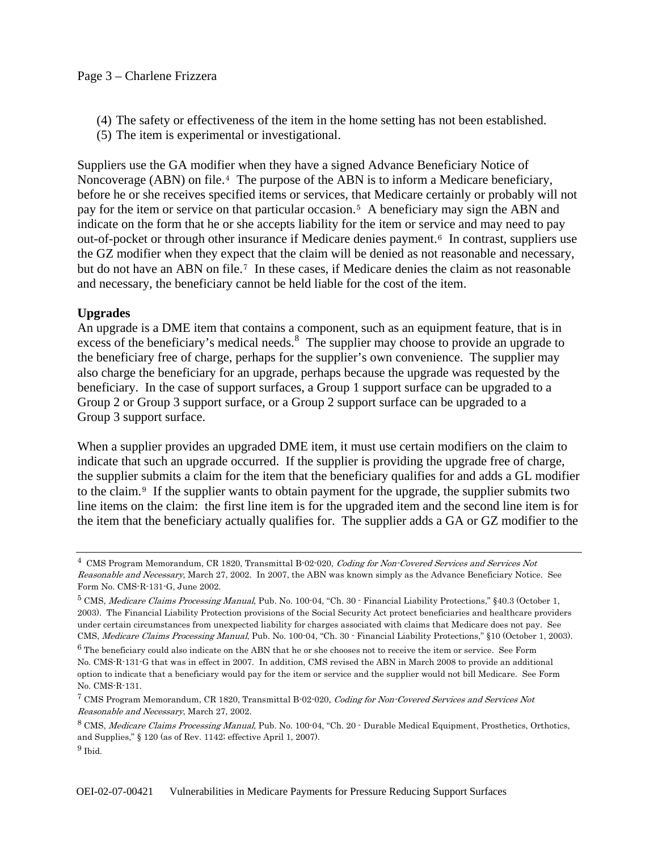- (4) The safety or effectiveness of the item in the home setting has not been established.
- (5) The item is experimental or investigational.

Suppliers use the GA modifier when they have a signed Advance Beneficiary Notice of Noncoverage (ABN) on file.<sup>[4](#page-2-0)</sup> The purpose of the ABN is to inform a Medicare beneficiary, before he or she receives specified items or services, that Medicare certainly or probably will not pay for the item or service on that particular occasion.[5](#page-2-1) A beneficiary may sign the ABN and indicate on the form that he or she accepts liability for the item or service and may need to pay out-of-pocket or through other insurance if Medicare denies payment.[6](#page-2-2) In contrast, suppliers use the GZ modifier when they expect that the claim will be denied as not reasonable and necessary, but do not have an ABN on file.[7](#page-2-3) In these cases, if Medicare denies the claim as not reasonable and necessary, the beneficiary cannot be held liable for the cost of the item.

# **Upgrades**

An upgrade is a DME item that contains a component, such as an equipment feature, that is in excess of the beneficiary's medical needs.<sup>[8](#page-2-4)</sup> The supplier may choose to provide an upgrade to the beneficiary free of charge, perhaps for the supplier's own convenience. The supplier may also charge the beneficiary for an upgrade, perhaps because the upgrade was requested by the beneficiary. In the case of support surfaces, a Group 1 support surface can be upgraded to a Group 2 or Group 3 support surface, or a Group 2 support surface can be upgraded to a Group 3 support surface.

When a supplier provides an upgraded DME item, it must use certain modifiers on the claim to indicate that such an upgrade occurred. If the supplier is providing the upgrade free of charge, the supplier submits a claim for the item that the beneficiary qualifies for and adds a GL modifier to the claim.[9](#page-2-5) If the supplier wants to obtain payment for the upgrade, the supplier submits two line items on the claim: the first line item is for the upgraded item and the second line item is for the item that the beneficiary actually qualifies for. The supplier adds a GA or GZ modifier to the

<span id="page-2-0"></span> $^4\,$  CMS Program Memorandum, CR 1820, Transmittal B-02-020, Coding for Non-Covered Services and Services Not Reasonable and Necessary, March 27, 2002. In 2007, the ABN was known simply as the Advance Beneficiary Notice. See Form No. CMS-R-131-G, June 2002.

<span id="page-2-1"></span><sup>5</sup> CMS, Medicare Claims Processing Manual, Pub. No. 100-04, "Ch. 30 - Financial Liability Protections," §40.3 (October 1, 2003). The Financial Liability Protection provisions of the Social Security Act protect beneficiaries and healthcare providers under certain circumstances from unexpected liability for charges associated with claims that Medicare does not pay. See CMS, Medicare Claims Processing Manual, Pub. No. 100-04, "Ch. 30 - Financial Liability Protections," §10 (October 1, 2003).

<span id="page-2-2"></span><sup>6</sup> The beneficiary could also indicate on the ABN that he or she chooses not to receive the item or service. See Form No. CMS-R-131-G that was in effect in 2007. In addition, CMS revised the ABN in March 2008 to provide an additional option to indicate that a beneficiary would pay for the item or service and the supplier would not bill Medicare. See Form No. CMS-R-131.

<span id="page-2-3"></span><sup>7</sup> CMS Program Memorandum, CR 1820, Transmittal B-02-020, Coding for Non-Covered Services and Services Not Reasonable and Necessary, March 27, 2002.

<span id="page-2-4"></span><sup>8</sup> CMS, Medicare Claims Processing Manual, Pub. No. 100-04, "Ch. 20 - Durable Medical Equipment, Prosthetics, Orthotics, and Supplies," § 120 (as of Rev. 1142; effective April 1, 2007).

<span id="page-2-5"></span> $9$  Ibid.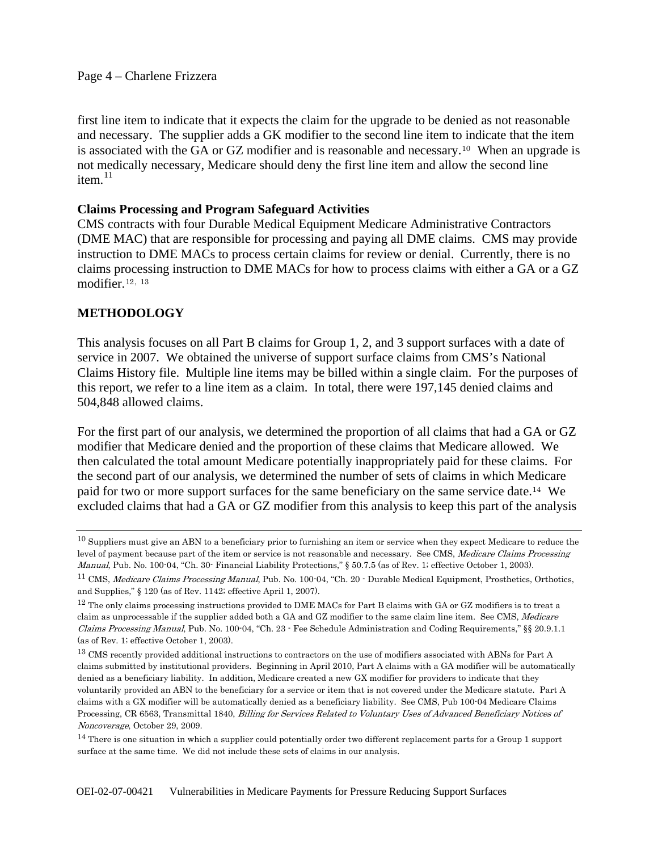first line item to indicate that it expects the claim for the upgrade to be denied as not reasonable and necessary. The supplier adds a GK modifier to the second line item to indicate that the item is associated with the GA or GZ modifier and is reasonable and necessary.[10](#page-3-0) When an upgrade is not medically necessary, Medicare should deny the first line item and allow the second line item $11$ 

#### **Claims Processing and Program Safeguard Activities**

CMS contracts with four Durable Medical Equipment Medicare Administrative Contractors (DME MAC) that are responsible for processing and paying all DME claims. CMS may provide instruction to DME MACs to process certain claims for review or denial. Currently, there is no claims processing instruction to DME MACs for how to process claims with either a GA or a GZ modifier.[12](#page-3-2), [13](#page-3-3)

# **METHODOLOGY**

This analysis focuses on all Part B claims for Group 1, 2, and 3 support surfaces with a date of service in 2007. We obtained the universe of support surface claims from CMS's National Claims History file. Multiple line items may be billed within a single claim. For the purposes of this report, we refer to a line item as a claim. In total, there were 197,145 denied claims and 504,848 allowed claims.

For the first part of our analysis, we determined the proportion of all claims that had a GA or GZ modifier that Medicare denied and the proportion of these claims that Medicare allowed. We then calculated the total amount Medicare potentially inappropriately paid for these claims. For the second part of our analysis, we determined the number of sets of claims in which Medicare paid for two or more support surfaces for the same beneficiary on the same service date.[14](#page-3-4) We excluded claims that had a GA or GZ modifier from this analysis to keep this part of the analysis

<span id="page-3-0"></span><sup>&</sup>lt;sup>10</sup> Suppliers must give an ABN to a beneficiary prior to furnishing an item or service when they expect Medicare to reduce the level of payment because part of the item or service is not reasonable and necessary. See CMS, Medicare Claims Processing Manual, Pub. No. 100-04, "Ch. 30- Financial Liability Protections," § 50.7.5 (as of Rev. 1; effective October 1, 2003).

<span id="page-3-1"></span><sup>&</sup>lt;sup>11</sup> CMS, Medicare Claims Processing Manual, Pub. No. 100-04, "Ch. 20 - Durable Medical Equipment, Prosthetics, Orthotics, and Supplies," § 120 (as of Rev. 1142; effective April 1, 2007).

<span id="page-3-2"></span> $12$  The only claims processing instructions provided to DME MACs for Part B claims with GA or GZ modifiers is to treat a claim as unprocessable if the supplier added both a GA and GZ modifier to the same claim line item. See CMS, Medicare Claims Processing Manual, Pub. No. 100-04, "Ch. 23 - Fee Schedule Administration and Coding Requirements," §§ 20.9.1.1 (as of Rev. 1; effective October 1, 2003).

<span id="page-3-3"></span><sup>&</sup>lt;sup>13</sup> CMS recently provided additional instructions to contractors on the use of modifiers associated with ABNs for Part A claims submitted by institutional providers. Beginning in April 2010, Part A claims with a GA modifier will be automatically denied as a beneficiary liability. In addition, Medicare created a new GX modifier for providers to indicate that they voluntarily provided an ABN to the beneficiary for a service or item that is not covered under the Medicare statute. Part A claims with a GX modifier will be automatically denied as a beneficiary liability. See CMS, Pub 100-04 Medicare Claims Processing, CR 6563, Transmittal 1840, Billing for Services Related to Voluntary Uses of Advanced Beneficiary Notices of Noncoverage, October 29, 2009.

<span id="page-3-4"></span><sup>&</sup>lt;sup>14</sup> There is one situation in which a supplier could potentially order two different replacement parts for a Group 1 support surface at the same time. We did not include these sets of claims in our analysis.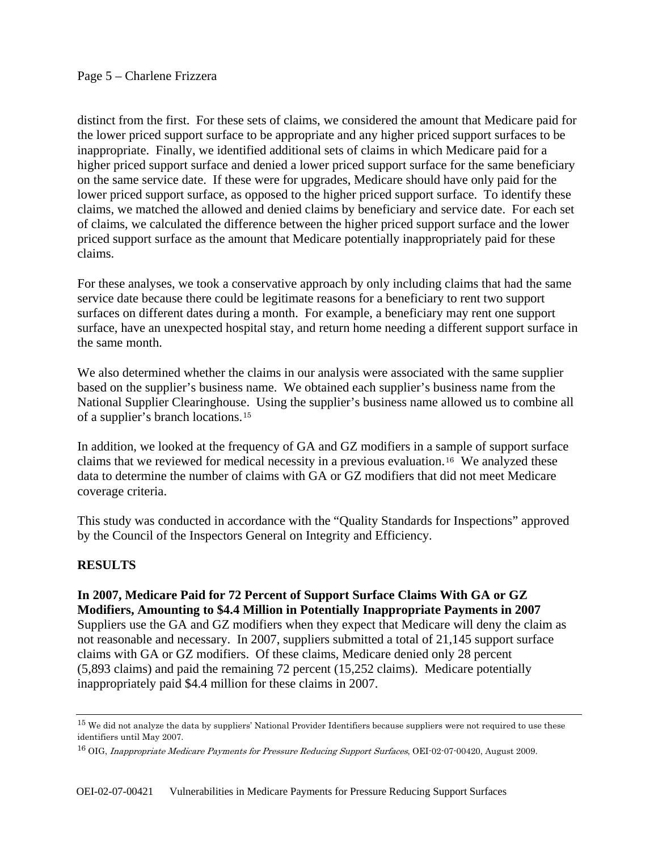distinct from the first. For these sets of claims, we considered the amount that Medicare paid for the lower priced support surface to be appropriate and any higher priced support surfaces to be inappropriate. Finally, we identified additional sets of claims in which Medicare paid for a higher priced support surface and denied a lower priced support surface for the same beneficiary on the same service date. If these were for upgrades, Medicare should have only paid for the lower priced support surface, as opposed to the higher priced support surface. To identify these claims, we matched the allowed and denied claims by beneficiary and service date. For each set of claims, we calculated the difference between the higher priced support surface and the lower priced support surface as the amount that Medicare potentially inappropriately paid for these claims.

For these analyses, we took a conservative approach by only including claims that had the same service date because there could be legitimate reasons for a beneficiary to rent two support surfaces on different dates during a month. For example, a beneficiary may rent one support surface, have an unexpected hospital stay, and return home needing a different support surface in the same month.

We also determined whether the claims in our analysis were associated with the same supplier based on the supplier's business name. We obtained each supplier's business name from the National Supplier Clearinghouse. Using the supplier's business name allowed us to combine all of a supplier's branch locations.[15](#page-4-0)

In addition, we looked at the frequency of GA and GZ modifiers in a sample of support surface claims that we reviewed for medical necessity in a previous evaluation.[16](#page-4-1) We analyzed these data to determine the number of claims with GA or GZ modifiers that did not meet Medicare coverage criteria.

This study was conducted in accordance with the "Quality Standards for Inspections" approved by the Council of the Inspectors General on Integrity and Efficiency.

# **RESULTS**

**In 2007, Medicare Paid for 72 Percent of Support Surface Claims With GA or GZ Modifiers, Amounting to \$4.4 Million in Potentially Inappropriate Payments in 2007**  Suppliers use the GA and GZ modifiers when they expect that Medicare will deny the claim as not reasonable and necessary. In 2007, suppliers submitted a total of 21,145 support surface claims with GA or GZ modifiers. Of these claims, Medicare denied only 28 percent (5,893 claims) and paid the remaining 72 percent (15,252 claims). Medicare potentially inappropriately paid \$4.4 million for these claims in 2007.

<span id="page-4-0"></span><sup>&</sup>lt;sup>15</sup> We did not analyze the data by suppliers' National Provider Identifiers because suppliers were not required to use these identifiers until May 2007.

<span id="page-4-1"></span><sup>&</sup>lt;sup>16</sup> OIG, Inappropriate Medicare Payments for Pressure Reducing Support Surfaces, OEI-02-07-00420, August 2009.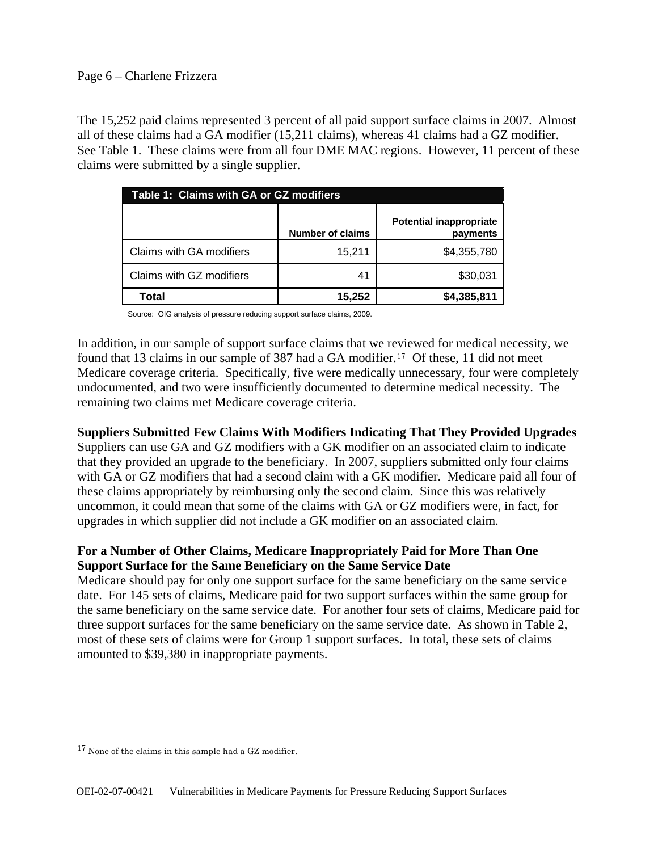#### Page 6 – Charlene Frizzera

The 15,252 paid claims represented 3 percent of all paid support surface claims in 2007. Almost all of these claims had a GA modifier (15,211 claims), whereas 41 claims had a GZ modifier. See Table 1. These claims were from all four DME MAC regions. However, 11 percent of these claims were submitted by a single supplier.

| Table 1: Claims with GA or GZ modifiers |                         |                                            |  |  |
|-----------------------------------------|-------------------------|--------------------------------------------|--|--|
|                                         | <b>Number of claims</b> | <b>Potential inappropriate</b><br>payments |  |  |
| Claims with GA modifiers                | 15,211                  | \$4,355,780                                |  |  |
| Claims with GZ modifiers                | 41                      | \$30,031                                   |  |  |
| Total                                   | 15.252                  | \$4,385,811                                |  |  |

Source: OIG analysis of pressure reducing support surface claims, 2009.

In addition, in our sample of support surface claims that we reviewed for medical necessity, we found that 13 claims in our sample of 387 had a GA modifier.<sup>[17](#page-5-0)</sup> Of these, 11 did not meet Medicare coverage criteria. Specifically, five were medically unnecessary, four were completely undocumented, and two were insufficiently documented to determine medical necessity. The remaining two claims met Medicare coverage criteria.

#### **Suppliers Submitted Few Claims With Modifiers Indicating That They Provided Upgrades**

Suppliers can use GA and GZ modifiers with a GK modifier on an associated claim to indicate that they provided an upgrade to the beneficiary. In 2007, suppliers submitted only four claims with GA or GZ modifiers that had a second claim with a GK modifier. Medicare paid all four of these claims appropriately by reimbursing only the second claim. Since this was relatively uncommon, it could mean that some of the claims with GA or GZ modifiers were, in fact, for upgrades in which supplier did not include a GK modifier on an associated claim.

# **For a Number of Other Claims, Medicare Inappropriately Paid for More Than One Support Surface for the Same Beneficiary on the Same Service Date**

Medicare should pay for only one support surface for the same beneficiary on the same service date. For 145 sets of claims, Medicare paid for two support surfaces within the same group for the same beneficiary on the same service date. For another four sets of claims, Medicare paid for three support surfaces for the same beneficiary on the same service date. As shown in Table 2, most of these sets of claims were for Group 1 support surfaces. In total, these sets of claims amounted to \$39,380 in inappropriate payments.

<span id="page-5-0"></span><sup>17</sup> None of the claims in this sample had a GZ modifier.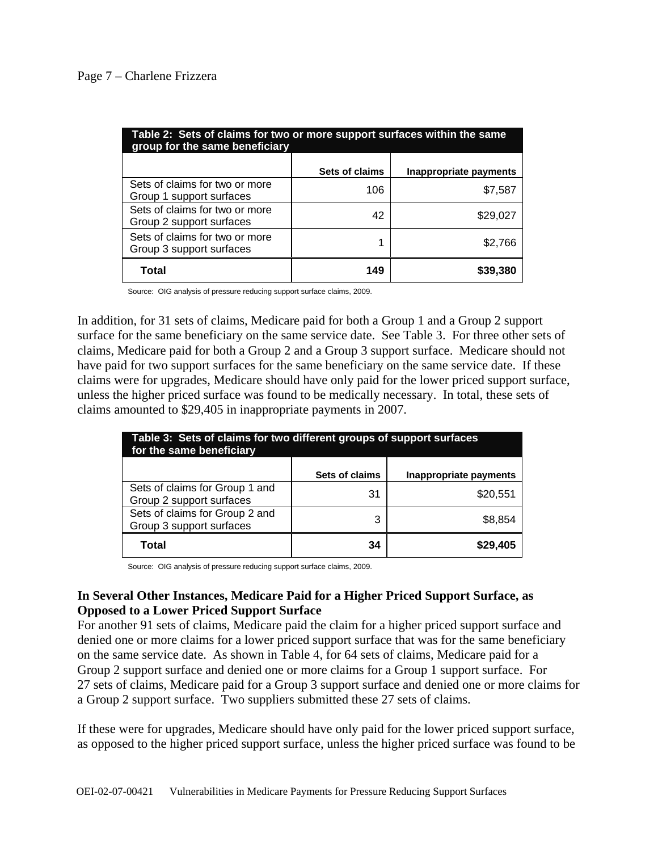#### Page 7 – Charlene Frizzera

| Table 2: Sets of claims for two or more support surfaces within the same<br>group for the same beneficiary |                       |                        |  |  |
|------------------------------------------------------------------------------------------------------------|-----------------------|------------------------|--|--|
|                                                                                                            | <b>Sets of claims</b> | Inappropriate payments |  |  |
| Sets of claims for two or more<br>Group 1 support surfaces                                                 | 106                   | \$7,587                |  |  |
| Sets of claims for two or more<br>Group 2 support surfaces                                                 | 42                    | \$29,027               |  |  |
| Sets of claims for two or more<br>Group 3 support surfaces                                                 | 1                     | \$2,766                |  |  |
| Total                                                                                                      | 149                   | \$39,380               |  |  |

Source: OIG analysis of pressure reducing support surface claims, 2009.

In addition, for 31 sets of claims, Medicare paid for both a Group 1 and a Group 2 support surface for the same beneficiary on the same service date. See Table 3. For three other sets of claims, Medicare paid for both a Group 2 and a Group 3 support surface. Medicare should not have paid for two support surfaces for the same beneficiary on the same service date. If these claims were for upgrades, Medicare should have only paid for the lower priced support surface, unless the higher priced surface was found to be medically necessary. In total, these sets of claims amounted to \$29,405 in inappropriate payments in 2007.

| Table 3: Sets of claims for two different groups of support surfaces<br>for the same beneficiary |                |                        |  |
|--------------------------------------------------------------------------------------------------|----------------|------------------------|--|
|                                                                                                  | Sets of claims | Inappropriate payments |  |
| Sets of claims for Group 1 and<br>Group 2 support surfaces                                       | 31             | \$20,551               |  |
| Sets of claims for Group 2 and<br>Group 3 support surfaces                                       | 3              | \$8.854                |  |
| Total                                                                                            | 34             | \$29,405               |  |

Source: OIG analysis of pressure reducing support surface claims, 2009.

# **In Several Other Instances, Medicare Paid for a Higher Priced Support Surface, as Opposed to a Lower Priced Support Surface**

For another 91 sets of claims, Medicare paid the claim for a higher priced support surface and denied one or more claims for a lower priced support surface that was for the same beneficiary on the same service date. As shown in Table 4, for 64 sets of claims, Medicare paid for a Group 2 support surface and denied one or more claims for a Group 1 support surface. For 27 sets of claims, Medicare paid for a Group 3 support surface and denied one or more claims for a Group 2 support surface. Two suppliers submitted these 27 sets of claims.

If these were for upgrades, Medicare should have only paid for the lower priced support surface, as opposed to the higher priced support surface, unless the higher priced surface was found to be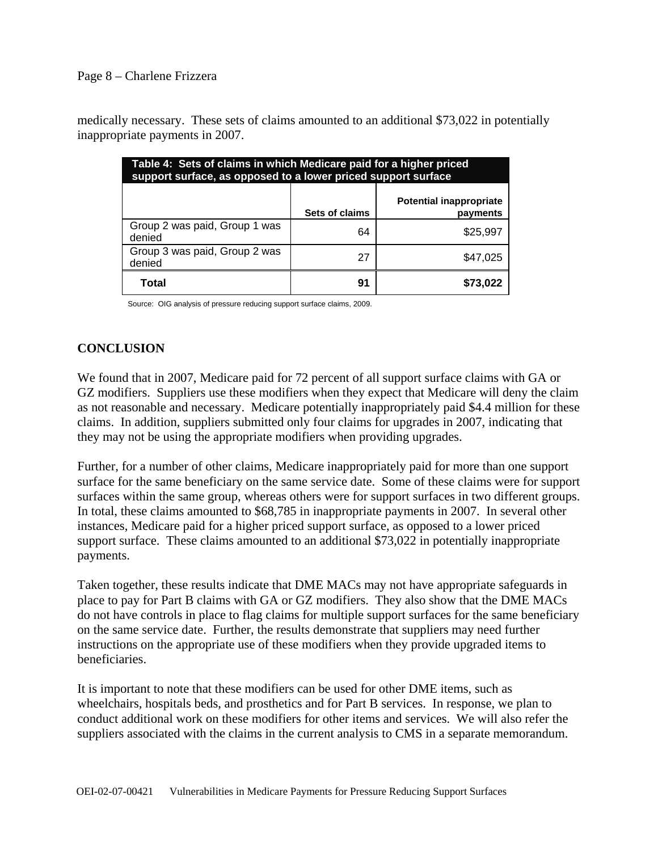#### Page 8 – Charlene Frizzera

medically necessary. These sets of claims amounted to an additional \$73,022 in potentially inappropriate payments in 2007.

| Table 4: Sets of claims in which Medicare paid for a higher priced<br>support surface, as opposed to a lower priced support surface |                |                                            |  |  |
|-------------------------------------------------------------------------------------------------------------------------------------|----------------|--------------------------------------------|--|--|
|                                                                                                                                     | Sets of claims | <b>Potential inappropriate</b><br>payments |  |  |
| Group 2 was paid, Group 1 was<br>denied                                                                                             | 64             | \$25,997                                   |  |  |
| Group 3 was paid, Group 2 was<br>denied                                                                                             | 27             | \$47.025                                   |  |  |
| Total                                                                                                                               | 91             |                                            |  |  |

Source: OIG analysis of pressure reducing support surface claims, 2009.

# **CONCLUSION**

We found that in 2007, Medicare paid for 72 percent of all support surface claims with GA or GZ modifiers. Suppliers use these modifiers when they expect that Medicare will deny the claim as not reasonable and necessary. Medicare potentially inappropriately paid \$4.4 million for these claims. In addition, suppliers submitted only four claims for upgrades in 2007, indicating that they may not be using the appropriate modifiers when providing upgrades.

Further, for a number of other claims, Medicare inappropriately paid for more than one support surface for the same beneficiary on the same service date. Some of these claims were for support surfaces within the same group, whereas others were for support surfaces in two different groups. In total, these claims amounted to \$68,785 in inappropriate payments in 2007. In several other instances, Medicare paid for a higher priced support surface, as opposed to a lower priced support surface. These claims amounted to an additional \$73,022 in potentially inappropriate payments.

Taken together, these results indicate that DME MACs may not have appropriate safeguards in place to pay for Part B claims with GA or GZ modifiers. They also show that the DME MACs do not have controls in place to flag claims for multiple support surfaces for the same beneficiary on the same service date. Further, the results demonstrate that suppliers may need further instructions on the appropriate use of these modifiers when they provide upgraded items to beneficiaries.

It is important to note that these modifiers can be used for other DME items, such as wheelchairs, hospitals beds, and prosthetics and for Part B services. In response, we plan to conduct additional work on these modifiers for other items and services. We will also refer the suppliers associated with the claims in the current analysis to CMS in a separate memorandum.